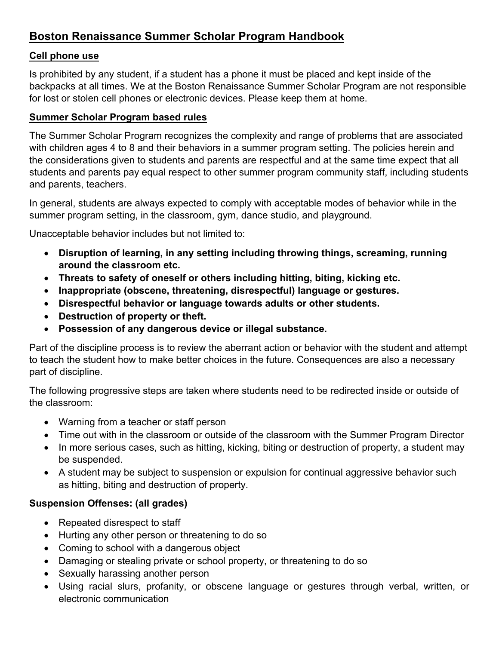# **Boston Renaissance Summer Scholar Program Handbook**

#### **Cell phone use**

Is prohibited by any student, if a student has a phone it must be placed and kept inside of the backpacks at all times. We at the Boston Renaissance Summer Scholar Program are not responsible for lost or stolen cell phones or electronic devices. Please keep them at home.

#### **Summer Scholar Program based rules**

The Summer Scholar Program recognizes the complexity and range of problems that are associated with children ages 4 to 8 and their behaviors in a summer program setting. The policies herein and the considerations given to students and parents are respectful and at the same time expect that all students and parents pay equal respect to other summer program community staff, including students and parents, teachers.

In general, students are always expected to comply with acceptable modes of behavior while in the summer program setting, in the classroom, gym, dance studio, and playground.

Unacceptable behavior includes but not limited to:

- **Disruption of learning, in any setting including throwing things, screaming, running around the classroom etc.**
- **Threats to safety of oneself or others including hitting, biting, kicking etc.**
- **Inappropriate (obscene, threatening, disrespectful) language or gestures.**
- **Disrespectful behavior or language towards adults or other students.**
- **Destruction of property or theft.**
- **Possession of any dangerous device or illegal substance.**

Part of the discipline process is to review the aberrant action or behavior with the student and attempt to teach the student how to make better choices in the future. Consequences are also a necessary part of discipline.

The following progressive steps are taken where students need to be redirected inside or outside of the classroom:

- Warning from a teacher or staff person
- Time out with in the classroom or outside of the classroom with the Summer Program Director
- In more serious cases, such as hitting, kicking, biting or destruction of property, a student may be suspended.
- A student may be subject to suspension or expulsion for continual aggressive behavior such as hitting, biting and destruction of property.

### **Suspension Offenses: (all grades)**

- Repeated disrespect to staff
- Hurting any other person or threatening to do so
- Coming to school with a dangerous object
- Damaging or stealing private or school property, or threatening to do so
- Sexually harassing another person
- Using racial slurs, profanity, or obscene language or gestures through verbal, written, or electronic communication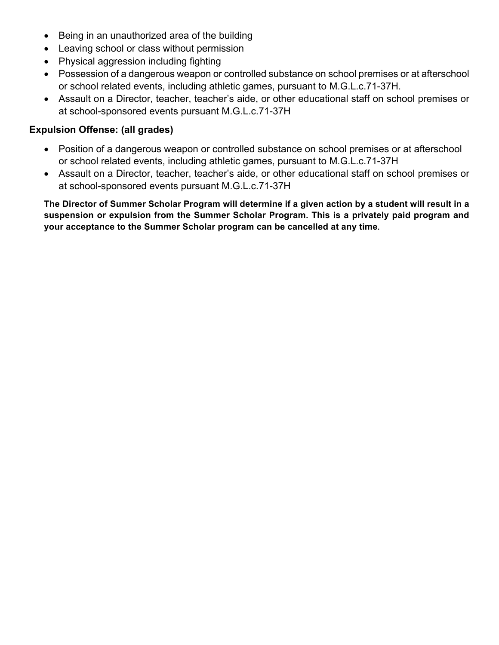- Being in an unauthorized area of the building
- Leaving school or class without permission
- Physical aggression including fighting
- Possession of a dangerous weapon or controlled substance on school premises or at afterschool or school related events, including athletic games, pursuant to M.G.L.c.71-37H.
- Assault on a Director, teacher, teacher's aide, or other educational staff on school premises or at school-sponsored events pursuant M.G.L.c.71-37H

#### **Expulsion Offense: (all grades)**

- Position of a dangerous weapon or controlled substance on school premises or at afterschool or school related events, including athletic games, pursuant to M.G.L.c.71-37H
- Assault on a Director, teacher, teacher's aide, or other educational staff on school premises or at school-sponsored events pursuant M.G.L.c.71-37H

**The Director of Summer Scholar Program will determine if a given action by a student will result in a suspension or expulsion from the Summer Scholar Program. This is a privately paid program and your acceptance to the Summer Scholar program can be cancelled at any time.**